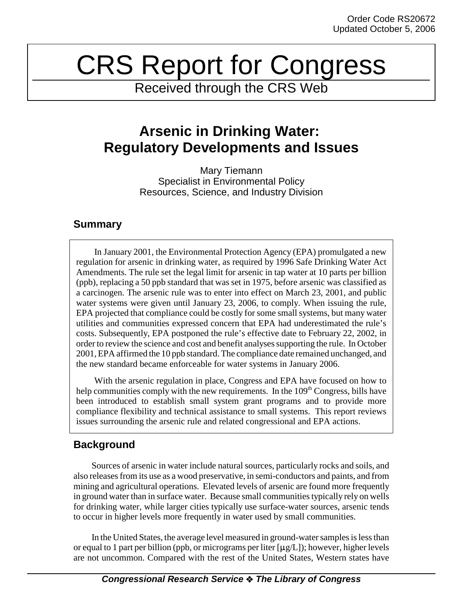# CRS Report for Congress

Received through the CRS Web

# **Arsenic in Drinking Water: Regulatory Developments and Issues**

Mary Tiemann Specialist in Environmental Policy Resources, Science, and Industry Division

## **Summary**

In January 2001, the Environmental Protection Agency (EPA) promulgated a new regulation for arsenic in drinking water, as required by 1996 Safe Drinking Water Act Amendments. The rule set the legal limit for arsenic in tap water at 10 parts per billion (ppb), replacing a 50 ppb standard that was set in 1975, before arsenic was classified as a carcinogen. The arsenic rule was to enter into effect on March 23, 2001, and public water systems were given until January 23, 2006, to comply. When issuing the rule, EPA projected that compliance could be costly for some small systems, but many water utilities and communities expressed concern that EPA had underestimated the rule's costs. Subsequently, EPA postponed the rule's effective date to February 22, 2002, in order to review the science and cost and benefit analyses supporting the rule. In October 2001, EPA affirmed the 10 ppb standard. The compliance date remained unchanged, and the new standard became enforceable for water systems in January 2006.

With the arsenic regulation in place, Congress and EPA have focused on how to help communities comply with the new requirements. In the  $109<sup>th</sup> Congress$ , bills have been introduced to establish small system grant programs and to provide more compliance flexibility and technical assistance to small systems. This report reviews issues surrounding the arsenic rule and related congressional and EPA actions.

# **Background**

Sources of arsenic in water include natural sources, particularly rocks and soils, and also releases from its use as a wood preservative, in semi-conductors and paints, and from mining and agricultural operations. Elevated levels of arsenic are found more frequently in ground water than in surface water. Because small communities typically rely on wells for drinking water, while larger cities typically use surface-water sources, arsenic tends to occur in higher levels more frequently in water used by small communities.

In the United States, the average level measured in ground-water samples is less than or equal to 1 part per billion (ppb, or micrograms per liter  $[\mu g/L]$ ); however, higher levels are not uncommon. Compared with the rest of the United States, Western states have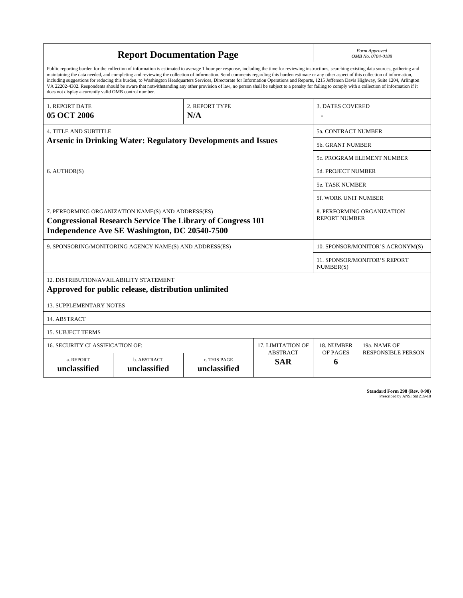| <b>Report Documentation Page</b>                                                                                                                                                                                                                                                                                                                                                                                                                                                                                                                                                                                                                                                                                                                                                                                                                                   |                             |                              |                               | Form Approved<br>OMB No. 0704-0188                 |                           |
|--------------------------------------------------------------------------------------------------------------------------------------------------------------------------------------------------------------------------------------------------------------------------------------------------------------------------------------------------------------------------------------------------------------------------------------------------------------------------------------------------------------------------------------------------------------------------------------------------------------------------------------------------------------------------------------------------------------------------------------------------------------------------------------------------------------------------------------------------------------------|-----------------------------|------------------------------|-------------------------------|----------------------------------------------------|---------------------------|
| Public reporting burden for the collection of information is estimated to average 1 hour per response, including the time for reviewing instructions, searching existing data sources, gathering and<br>maintaining the data needed, and completing and reviewing the collection of information. Send comments regarding this burden estimate or any other aspect of this collection of information,<br>including suggestions for reducing this burden, to Washington Headquarters Services, Directorate for Information Operations and Reports, 1215 Jefferson Davis Highway, Suite 1204, Arlington<br>VA 22202-4302. Respondents should be aware that notwithstanding any other provision of law, no person shall be subject to a penalty for failing to comply with a collection of information if it<br>does not display a currently valid OMB control number. |                             |                              |                               |                                                    |                           |
| <b>1. REPORT DATE</b><br>05 OCT 2006                                                                                                                                                                                                                                                                                                                                                                                                                                                                                                                                                                                                                                                                                                                                                                                                                               | 2. REPORT TYPE<br>N/A       |                              |                               | <b>3. DATES COVERED</b>                            |                           |
| <b>4. TITLE AND SUBTITLE</b><br><b>Arsenic in Drinking Water: Regulatory Developments and Issues</b>                                                                                                                                                                                                                                                                                                                                                                                                                                                                                                                                                                                                                                                                                                                                                               |                             |                              |                               | 5a. CONTRACT NUMBER                                |                           |
|                                                                                                                                                                                                                                                                                                                                                                                                                                                                                                                                                                                                                                                                                                                                                                                                                                                                    |                             |                              |                               | <b>5b. GRANT NUMBER</b>                            |                           |
|                                                                                                                                                                                                                                                                                                                                                                                                                                                                                                                                                                                                                                                                                                                                                                                                                                                                    |                             |                              |                               | 5c. PROGRAM ELEMENT NUMBER                         |                           |
| 6. AUTHOR(S)                                                                                                                                                                                                                                                                                                                                                                                                                                                                                                                                                                                                                                                                                                                                                                                                                                                       |                             |                              |                               | <b>5d. PROJECT NUMBER</b>                          |                           |
|                                                                                                                                                                                                                                                                                                                                                                                                                                                                                                                                                                                                                                                                                                                                                                                                                                                                    |                             |                              |                               | <b>5e. TASK NUMBER</b>                             |                           |
|                                                                                                                                                                                                                                                                                                                                                                                                                                                                                                                                                                                                                                                                                                                                                                                                                                                                    |                             |                              |                               | <b>5f. WORK UNIT NUMBER</b>                        |                           |
| 7. PERFORMING ORGANIZATION NAME(S) AND ADDRESS(ES)<br><b>Congressional Research Service The Library of Congress 101</b><br>Independence Ave SE Washington, DC 20540-7500                                                                                                                                                                                                                                                                                                                                                                                                                                                                                                                                                                                                                                                                                           |                             |                              |                               | 8. PERFORMING ORGANIZATION<br><b>REPORT NUMBER</b> |                           |
| 9. SPONSORING/MONITORING AGENCY NAME(S) AND ADDRESS(ES)                                                                                                                                                                                                                                                                                                                                                                                                                                                                                                                                                                                                                                                                                                                                                                                                            |                             |                              |                               | 10. SPONSOR/MONITOR'S ACRONYM(S)                   |                           |
|                                                                                                                                                                                                                                                                                                                                                                                                                                                                                                                                                                                                                                                                                                                                                                                                                                                                    |                             |                              |                               | <b>11. SPONSOR/MONITOR'S REPORT</b><br>NUMBER(S)   |                           |
| 12. DISTRIBUTION/AVAILABILITY STATEMENT<br>Approved for public release, distribution unlimited                                                                                                                                                                                                                                                                                                                                                                                                                                                                                                                                                                                                                                                                                                                                                                     |                             |                              |                               |                                                    |                           |
| <b>13. SUPPLEMENTARY NOTES</b>                                                                                                                                                                                                                                                                                                                                                                                                                                                                                                                                                                                                                                                                                                                                                                                                                                     |                             |                              |                               |                                                    |                           |
| 14. ABSTRACT                                                                                                                                                                                                                                                                                                                                                                                                                                                                                                                                                                                                                                                                                                                                                                                                                                                       |                             |                              |                               |                                                    |                           |
| <b>15. SUBJECT TERMS</b>                                                                                                                                                                                                                                                                                                                                                                                                                                                                                                                                                                                                                                                                                                                                                                                                                                           |                             |                              |                               |                                                    |                           |
| 16. SECURITY CLASSIFICATION OF:<br>17. LIMITATION OF                                                                                                                                                                                                                                                                                                                                                                                                                                                                                                                                                                                                                                                                                                                                                                                                               |                             |                              |                               | 18. NUMBER                                         | 19a. NAME OF              |
| a. REPORT<br>unclassified                                                                                                                                                                                                                                                                                                                                                                                                                                                                                                                                                                                                                                                                                                                                                                                                                                          | b. ABSTRACT<br>unclassified | c. THIS PAGE<br>unclassified | <b>ABSTRACT</b><br><b>SAR</b> | OF PAGES<br>6                                      | <b>RESPONSIBLE PERSON</b> |

**Standard Form 298 (Rev. 8-98)**<br>Prescribed by ANSI Std Z39-18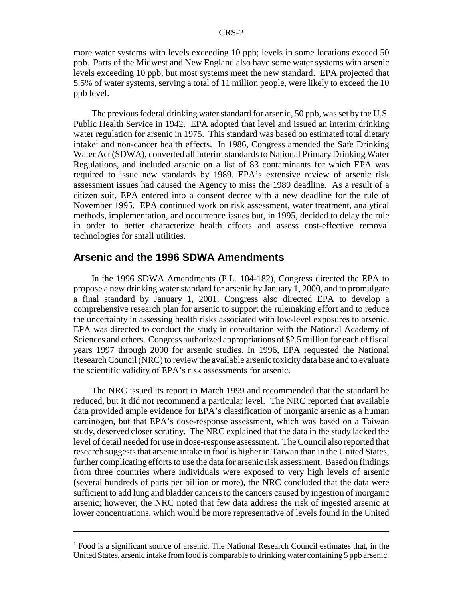more water systems with levels exceeding 10 ppb; levels in some locations exceed 50 ppb. Parts of the Midwest and New England also have some water systems with arsenic levels exceeding 10 ppb, but most systems meet the new standard. EPA projected that 5.5% of water systems, serving a total of 11 million people, were likely to exceed the 10 ppb level.

The previous federal drinking water standard for arsenic, 50 ppb, was set by the U.S. Public Health Service in 1942. EPA adopted that level and issued an interim drinking water regulation for arsenic in 1975. This standard was based on estimated total dietary intake<sup>1</sup> and non-cancer health effects. In 1986, Congress amended the Safe Drinking Water Act (SDWA), converted all interim standards to National Primary Drinking Water Regulations, and included arsenic on a list of 83 contaminants for which EPA was required to issue new standards by 1989. EPA's extensive review of arsenic risk assessment issues had caused the Agency to miss the 1989 deadline. As a result of a citizen suit, EPA entered into a consent decree with a new deadline for the rule of November 1995. EPA continued work on risk assessment, water treatment, analytical methods, implementation, and occurrence issues but, in 1995, decided to delay the rule in order to better characterize health effects and assess cost-effective removal technologies for small utilities.

#### **Arsenic and the 1996 SDWA Amendments**

In the 1996 SDWA Amendments (P.L. 104-182), Congress directed the EPA to propose a new drinking water standard for arsenic by January 1, 2000, and to promulgate a final standard by January 1, 2001. Congress also directed EPA to develop a comprehensive research plan for arsenic to support the rulemaking effort and to reduce the uncertainty in assessing health risks associated with low-level exposures to arsenic. EPA was directed to conduct the study in consultation with the National Academy of Sciences and others. Congress authorized appropriations of \$2.5 million for each of fiscal years 1997 through 2000 for arsenic studies. In 1996, EPA requested the National Research Council (NRC) to review the available arsenic toxicity data base and to evaluate the scientific validity of EPA's risk assessments for arsenic.

The NRC issued its report in March 1999 and recommended that the standard be reduced, but it did not recommend a particular level. The NRC reported that available data provided ample evidence for EPA's classification of inorganic arsenic as a human carcinogen, but that EPA's dose-response assessment, which was based on a Taiwan study, deserved closer scrutiny. The NRC explained that the data in the study lacked the level of detail needed for use in dose-response assessment. The Council also reported that research suggests that arsenic intake in food is higher in Taiwan than in the United States, further complicating efforts to use the data for arsenic risk assessment. Based on findings from three countries where individuals were exposed to very high levels of arsenic (several hundreds of parts per billion or more), the NRC concluded that the data were sufficient to add lung and bladder cancers to the cancers caused by ingestion of inorganic arsenic; however, the NRC noted that few data address the risk of ingested arsenic at lower concentrations, which would be more representative of levels found in the United

<sup>&</sup>lt;sup>1</sup> Food is a significant source of arsenic. The National Research Council estimates that, in the United States, arsenic intake from food is comparable to drinking water containing 5 ppb arsenic.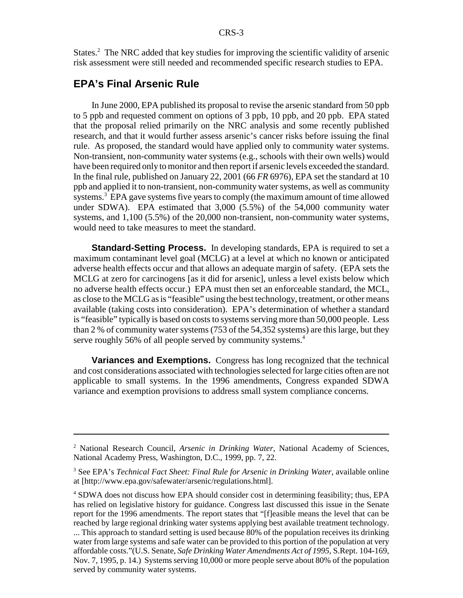States.<sup>2</sup> The NRC added that key studies for improving the scientific validity of arsenic risk assessment were still needed and recommended specific research studies to EPA.

#### **EPA's Final Arsenic Rule**

In June 2000, EPA published its proposal to revise the arsenic standard from 50 ppb to 5 ppb and requested comment on options of 3 ppb, 10 ppb, and 20 ppb. EPA stated that the proposal relied primarily on the NRC analysis and some recently published research, and that it would further assess arsenic's cancer risks before issuing the final rule. As proposed, the standard would have applied only to community water systems. Non-transient, non-community water systems (e.g., schools with their own wells) would have been required only to monitor and then report if arsenic levels exceeded the standard. In the final rule, published on January 22, 2001 (66 *FR* 6976), EPA set the standard at 10 ppb and applied it to non-transient, non-community water systems, as well as community systems.<sup>3</sup> EPA gave systems five years to comply (the maximum amount of time allowed under SDWA). EPA estimated that 3,000 (5.5%) of the 54,000 community water systems, and 1,100 (5.5%) of the 20,000 non-transient, non-community water systems, would need to take measures to meet the standard.

**Standard-Setting Process.** In developing standards, EPA is required to set a maximum contaminant level goal (MCLG) at a level at which no known or anticipated adverse health effects occur and that allows an adequate margin of safety. (EPA sets the MCLG at zero for carcinogens [as it did for arsenic], unless a level exists below which no adverse health effects occur.) EPA must then set an enforceable standard, the MCL, as close to the MCLG as is "feasible" using the best technology, treatment, or other means available (taking costs into consideration). EPA's determination of whether a standard is "feasible" typically is based on costs to systems serving more than 50,000 people. Less than 2 % of community water systems (753 of the 54,352 systems) are this large, but they serve roughly 56% of all people served by community systems.<sup>4</sup>

**Variances and Exemptions.** Congress has long recognized that the technical and cost considerations associated with technologies selected for large cities often are not applicable to small systems. In the 1996 amendments, Congress expanded SDWA variance and exemption provisions to address small system compliance concerns.

<sup>2</sup> National Research Council, *Arsenic in Drinking Water*, National Academy of Sciences, National Academy Press, Washington, D.C., 1999, pp. 7, 22.

<sup>&</sup>lt;sup>3</sup> See EPA's *Technical Fact Sheet: Final Rule for Arsenic in Drinking Water*, available online at [http://www.epa.gov/safewater/arsenic/regulations.html].

<sup>&</sup>lt;sup>4</sup> SDWA does not discuss how EPA should consider cost in determining feasibility; thus, EPA has relied on legislative history for guidance. Congress last discussed this issue in the Senate report for the 1996 amendments. The report states that "[f]easible means the level that can be reached by large regional drinking water systems applying best available treatment technology. ... This approach to standard setting is used because 80% of the population receives its drinking water from large systems and safe water can be provided to this portion of the population at very affordable costs."(U.S. Senate, *Safe Drinking Water Amendments Act of 1995*, S.Rept. 104-169, Nov. 7, 1995, p. 14.) Systems serving 10,000 or more people serve about 80% of the population served by community water systems.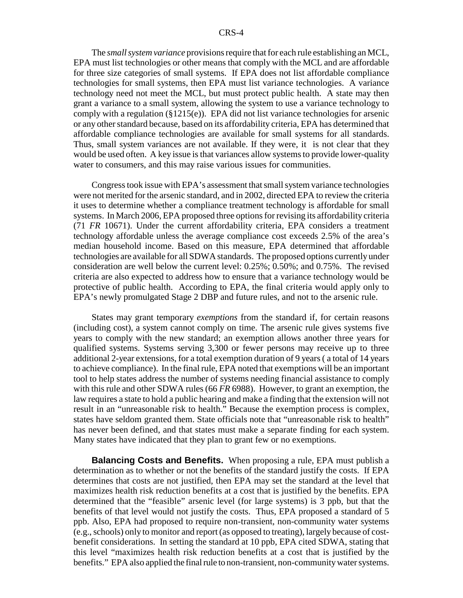The *small system variance* provisions require that for each rule establishing an MCL, EPA must list technologies or other means that comply with the MCL and are affordable for three size categories of small systems. If EPA does not list affordable compliance technologies for small systems, then EPA must list variance technologies. A variance technology need not meet the MCL, but must protect public health. A state may then grant a variance to a small system, allowing the system to use a variance technology to comply with a regulation  $(\S1215(e))$ . EPA did not list variance technologies for arsenic or any other standard because, based on its affordability criteria, EPA has determined that affordable compliance technologies are available for small systems for all standards. Thus, small system variances are not available. If they were, it is not clear that they would be used often. A key issue is that variances allow systems to provide lower-quality water to consumers, and this may raise various issues for communities.

Congress took issue with EPA's assessment that small system variance technologies were not merited for the arsenic standard, and in 2002, directed EPA to review the criteria it uses to determine whether a compliance treatment technology is affordable for small systems. In March 2006, EPA proposed three options for revising its affordability criteria (71 *FR* 10671). Under the current affordability criteria, EPA considers a treatment technology affordable unless the average compliance cost exceeds 2.5% of the area's median household income. Based on this measure, EPA determined that affordable technologies are available for all SDWA standards. The proposed options currently under consideration are well below the current level: 0.25%; 0.50%; and 0.75%. The revised criteria are also expected to address how to ensure that a variance technology would be protective of public health. According to EPA, the final criteria would apply only to EPA's newly promulgated Stage 2 DBP and future rules, and not to the arsenic rule.

States may grant temporary *exemptions* from the standard if, for certain reasons (including cost), a system cannot comply on time. The arsenic rule gives systems five years to comply with the new standard; an exemption allows another three years for qualified systems. Systems serving 3,300 or fewer persons may receive up to three additional 2-year extensions, for a total exemption duration of 9 years ( a total of 14 years to achieve compliance). In the final rule, EPA noted that exemptions will be an important tool to help states address the number of systems needing financial assistance to comply with this rule and other SDWA rules (66 *FR* 6988). However, to grant an exemption, the law requires a state to hold a public hearing and make a finding that the extension will not result in an "unreasonable risk to health." Because the exemption process is complex, states have seldom granted them. State officials note that "unreasonable risk to health" has never been defined, and that states must make a separate finding for each system. Many states have indicated that they plan to grant few or no exemptions.

**Balancing Costs and Benefits.** When proposing a rule, EPA must publish a determination as to whether or not the benefits of the standard justify the costs. If EPA determines that costs are not justified, then EPA may set the standard at the level that maximizes health risk reduction benefits at a cost that is justified by the benefits. EPA determined that the "feasible" arsenic level (for large systems) is 3 ppb, but that the benefits of that level would not justify the costs. Thus, EPA proposed a standard of 5 ppb. Also, EPA had proposed to require non-transient, non-community water systems (e.g., schools) only to monitor and report (as opposed to treating), largely because of costbenefit considerations. In setting the standard at 10 ppb, EPA cited SDWA, stating that this level "maximizes health risk reduction benefits at a cost that is justified by the benefits." EPA also applied the final rule to non-transient, non-community water systems.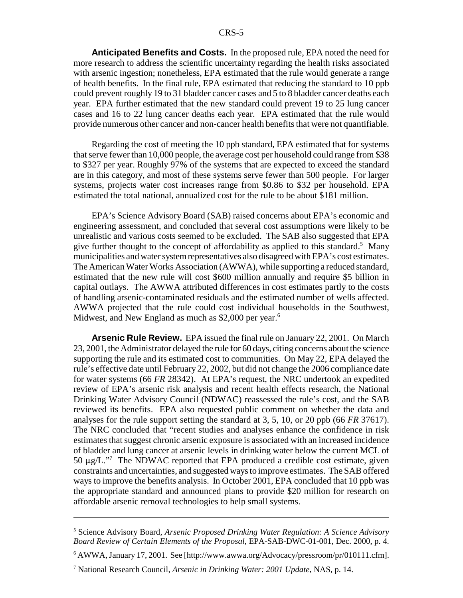**Anticipated Benefits and Costs.** In the proposed rule, EPA noted the need for more research to address the scientific uncertainty regarding the health risks associated with arsenic ingestion; nonetheless, EPA estimated that the rule would generate a range of health benefits. In the final rule, EPA estimated that reducing the standard to 10 ppb could prevent roughly 19 to 31 bladder cancer cases and 5 to 8 bladder cancer deaths each year. EPA further estimated that the new standard could prevent 19 to 25 lung cancer cases and 16 to 22 lung cancer deaths each year. EPA estimated that the rule would provide numerous other cancer and non-cancer health benefits that were not quantifiable.

Regarding the cost of meeting the 10 ppb standard, EPA estimated that for systems that serve fewer than 10,000 people, the average cost per household could range from \$38 to \$327 per year. Roughly 97% of the systems that are expected to exceed the standard are in this category, and most of these systems serve fewer than 500 people. For larger systems, projects water cost increases range from \$0.86 to \$32 per household. EPA estimated the total national, annualized cost for the rule to be about \$181 million.

EPA's Science Advisory Board (SAB) raised concerns about EPA's economic and engineering assessment, and concluded that several cost assumptions were likely to be unrealistic and various costs seemed to be excluded. The SAB also suggested that EPA give further thought to the concept of affordability as applied to this standard.<sup>5</sup> Many municipalities and water system representatives also disagreed with EPA's cost estimates. The American Water Works Association (AWWA), while supporting a reduced standard, estimated that the new rule will cost \$600 million annually and require \$5 billion in capital outlays. The AWWA attributed differences in cost estimates partly to the costs of handling arsenic-contaminated residuals and the estimated number of wells affected. AWWA projected that the rule could cost individual households in the Southwest, Midwest, and New England as much as \$2,000 per year.<sup>6</sup>

**Arsenic Rule Review.** EPA issued the final rule on January 22, 2001. On March 23, 2001, the Administrator delayed the rule for 60 days, citing concerns about the science supporting the rule and its estimated cost to communities. On May 22, EPA delayed the rule's effective date until February 22, 2002, but did not change the 2006 compliance date for water systems (66 *FR* 28342). At EPA's request, the NRC undertook an expedited review of EPA's arsenic risk analysis and recent health effects research, the National Drinking Water Advisory Council (NDWAC) reassessed the rule's cost, and the SAB reviewed its benefits. EPA also requested public comment on whether the data and analyses for the rule support setting the standard at 3, 5, 10, or 20 ppb (66 *FR* 37617). The NRC concluded that "recent studies and analyses enhance the confidence in risk estimates that suggest chronic arsenic exposure is associated with an increased incidence of bladder and lung cancer at arsenic levels in drinking water below the current MCL of 50  $\mu$ g/L."<sup>7</sup> The NDWAC reported that EPA produced a credible cost estimate, given constraints and uncertainties, and suggested ways to improve estimates. The SAB offered ways to improve the benefits analysis. In October 2001, EPA concluded that 10 ppb was the appropriate standard and announced plans to provide \$20 million for research on affordable arsenic removal technologies to help small systems.

<sup>5</sup> Science Advisory Board, *Arsenic Proposed Drinking Water Regulation: A Science Advisory Board Review of Certain Elements of the Proposal*, EPA-SAB-DWC-01-001, Dec. 2000, p. 4.

<sup>&</sup>lt;sup>6</sup> AWWA, January 17, 2001. See [http://www.awwa.org/Advocacy/pressroom/pr/010111.cfm].

<sup>7</sup> National Research Council, *Arsenic in Drinking Water: 2001 Update*, NAS, p. 14.